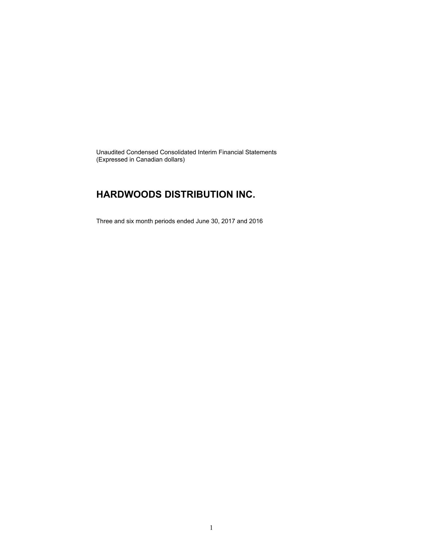Unaudited Condensed Consolidated Interim Financial Statements (Expressed in Canadian dollars)

### **HARDWOODS DISTRIBUTION INC.**

Three and six month periods ended June 30, 2017 and 2016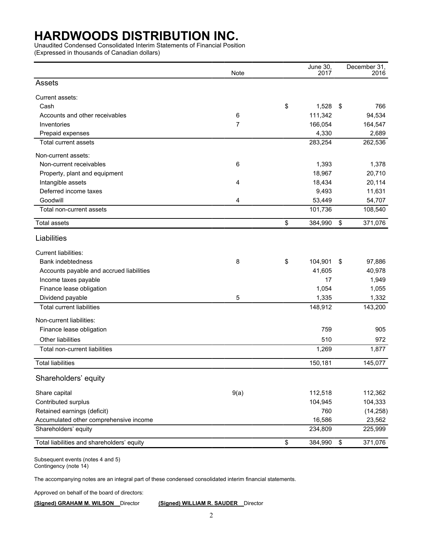Unaudited Condensed Consolidated Interim Statements of Financial Position

(Expressed in thousands of Canadian dollars)

|                                            | Note | June 30,<br>2017 | December 31,<br>2016 |
|--------------------------------------------|------|------------------|----------------------|
| Assets                                     |      |                  |                      |
| Current assets:                            |      |                  |                      |
| Cash                                       |      | \$<br>1,528      | \$<br>766            |
| Accounts and other receivables             | 6    | 111,342          | 94,534               |
| Inventories                                | 7    | 166,054          | 164,547              |
| Prepaid expenses                           |      | 4,330            | 2,689                |
| <b>Total current assets</b>                |      | 283,254          | 262,536              |
| Non-current assets:                        |      |                  |                      |
| Non-current receivables                    | 6    | 1,393            | 1,378                |
| Property, plant and equipment              |      | 18,967           | 20,710               |
| Intangible assets                          | 4    | 18,434           | 20,114               |
| Deferred income taxes                      |      | 9,493            | 11,631               |
| Goodwill                                   | 4    | 53,449           | 54,707               |
| Total non-current assets                   |      | 101,736          | 108,540              |
| <b>Total assets</b>                        |      | \$<br>384,990    | \$<br>371,076        |
| Liabilities                                |      |                  |                      |
| <b>Current liabilities:</b>                |      |                  |                      |
| <b>Bank indebtedness</b>                   | 8    | \$<br>104,901    | \$<br>97,886         |
| Accounts payable and accrued liabilities   |      | 41,605           | 40,978               |
| Income taxes payable                       |      | 17               | 1,949                |
| Finance lease obligation                   |      | 1,054            | 1,055                |
| Dividend payable                           | 5    | 1,335            | 1,332                |
| <b>Total current liabilities</b>           |      | 148,912          | 143,200              |
| Non-current liabilities:                   |      |                  |                      |
| Finance lease obligation                   |      | 759              | 905                  |
| Other liabilities                          |      | 510              | 972                  |
| Total non-current liabilities              |      | 1,269            | 1,877                |
| <b>Total liabilities</b>                   |      | 150,181          | 145,077              |
| Shareholders' equity                       |      |                  |                      |
| Share capital                              | 9(a) | 112,518          | 112,362              |
| Contributed surplus                        |      | 104,945          | 104,333              |
| Retained earnings (deficit)                |      | 760              | (14, 258)            |
| Accumulated other comprehensive income     |      | 16,586           | 23,562               |
| Shareholders' equity                       |      | 234,809          | 225,999              |
| Total liabilities and shareholders' equity |      | \$<br>384,990    | \$<br>371,076        |
|                                            |      |                  |                      |

Subsequent events (notes 4 and 5) Contingency (note 14)

The accompanying notes are an integral part of these condensed consolidated interim financial statements.

Approved on behalf of the board of directors:

**(Signed) GRAHAM M. WILSON** Director **(Signed) WILLIAM R. SAUDER** Director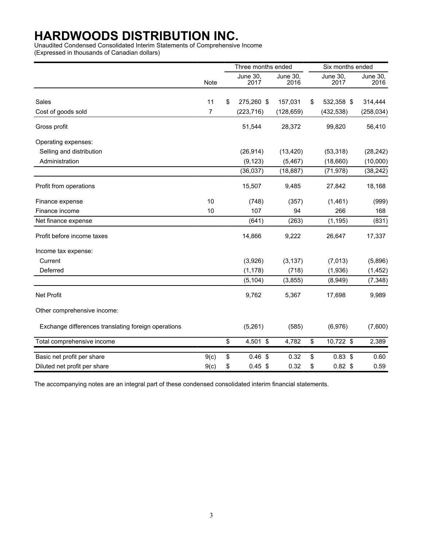Unaudited Condensed Consolidated Interim Statements of Comprehensive Income

(Expressed in thousands of Canadian dollars)

|                                                     |                | Three months ended |                         |                  | Six months ended |                  |  |
|-----------------------------------------------------|----------------|--------------------|-------------------------|------------------|------------------|------------------|--|
|                                                     | Note           |                    | <b>June 30,</b><br>2017 | June 30,<br>2016 | June 30,<br>2017 | June 30,<br>2016 |  |
| Sales                                               | 11             | \$                 | 275,260 \$              | 157,031          | \$<br>532,358 \$ | 314,444          |  |
| Cost of goods sold                                  | $\overline{7}$ |                    | (223, 716)              | (128, 659)       | (432, 538)       | (258, 034)       |  |
| Gross profit                                        |                |                    | 51,544                  | 28,372           | 99,820           | 56,410           |  |
| Operating expenses:                                 |                |                    |                         |                  |                  |                  |  |
| Selling and distribution                            |                |                    | (26, 914)               | (13, 420)        | (53, 318)        | (28, 242)        |  |
| Administration                                      |                |                    | (9, 123)                | (5, 467)         | (18,660)         | (10,000)         |  |
|                                                     |                |                    | (36, 037)               | (18, 887)        | (71, 978)        | (38, 242)        |  |
| Profit from operations                              |                |                    | 15,507                  | 9,485            | 27,842           | 18,168           |  |
| Finance expense                                     | 10             |                    | (748)                   | (357)            | (1,461)          | (999)            |  |
| Finance income                                      | 10             |                    | 107                     | 94               | 266              | 168              |  |
| Net finance expense                                 |                |                    | (641)                   | (263)            | (1, 195)         | (831)            |  |
| Profit before income taxes                          |                |                    | 14,866                  | 9,222            | 26,647           | 17,337           |  |
| Income tax expense:                                 |                |                    |                         |                  |                  |                  |  |
| Current                                             |                |                    | (3,926)                 | (3, 137)         | (7,013)          | (5,896)          |  |
| Deferred                                            |                |                    | (1, 178)                | (718)            | (1,936)          | (1, 452)         |  |
|                                                     |                |                    | (5, 104)                | (3, 855)         | (8,949)          | (7, 348)         |  |
| <b>Net Profit</b>                                   |                |                    | 9,762                   | 5,367            | 17,698           | 9,989            |  |
| Other comprehensive income:                         |                |                    |                         |                  |                  |                  |  |
| Exchange differences translating foreign operations |                |                    | (5,261)                 | (585)            | (6,976)          | (7,600)          |  |
| Total comprehensive income                          |                | \$                 | 4,501 \$                | 4,782            | \$<br>10,722 \$  | 2,389            |  |
| Basic net profit per share                          | 9(c)           | \$                 | 0.46~\$                 | 0.32             | \$<br>$0.83$ \$  | 0.60             |  |
| Diluted net profit per share                        | 9(c)           | \$                 | $0.45$ \$               | 0.32             | \$<br>$0.82$ \$  | 0.59             |  |

The accompanying notes are an integral part of these condensed consolidated interim financial statements.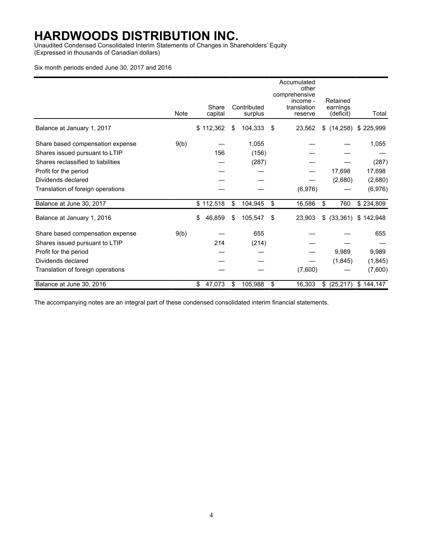Unaudited Condensed Consolidated Interim Statements of Changes in Shareholders' Equity (Expressed in thousands of Canadian dollars)

### Six month periods ended June 30, 2017 and 2016

|                                    |             |                  |                        | Accumulated<br>other<br>comprehensive |                                   |                        |
|------------------------------------|-------------|------------------|------------------------|---------------------------------------|-----------------------------------|------------------------|
|                                    | <b>Note</b> | Share<br>capital | Contributed<br>surplus | income -<br>translation<br>reserve    | Retained<br>earnings<br>(deficit) | Total                  |
| Balance at January 1, 2017         |             | \$112,362        | \$<br>104,333          | \$<br>23,562                          | \$(14,258)                        | \$225,999              |
| Share based compensation expense   | 9(b)        |                  | 1,055                  |                                       |                                   | 1,055                  |
| Shares issued pursuant to LTIP     |             | 156              | (156)                  |                                       |                                   |                        |
| Shares reclassified to liabilities |             |                  | (287)                  |                                       |                                   | (287)                  |
| Profit for the period              |             |                  |                        |                                       | 17,698                            | 17,698                 |
| Dividends declared                 |             |                  |                        |                                       | (2,680)                           | (2,680)                |
| Translation of foreign operations  |             |                  |                        | (6,976)                               |                                   | (6,976)                |
| Balance at June 30, 2017           |             | \$112,518        | \$<br>104,945          | \$<br>16,586                          | \$<br>760                         | $\overline{$}$ 234,809 |
| Balance at January 1, 2016         |             | \$<br>46,859     | \$<br>105,547          | \$<br>23,903                          | (33, 361)<br>\$                   | \$142,948              |
| Share based compensation expense   | 9(b)        |                  | 655                    |                                       |                                   | 655                    |
| Shares issued pursuant to LTIP     |             | 214              | (214)                  |                                       |                                   |                        |
| Profit for the period              |             |                  |                        |                                       | 9,989                             | 9,989                  |
| Dividends declared                 |             |                  |                        |                                       | (1, 845)                          | (1, 845)               |
| Translation of foreign operations  |             |                  |                        | (7,600)                               |                                   | (7,600)                |
| Balance at June 30, 2016           |             | \$<br>47,073     | \$<br>105,988          | \$<br>16,303                          | (25, 217)<br>\$                   | \$144,147              |

The accompanying notes are an integral part of these condensed consolidated interim financial statements.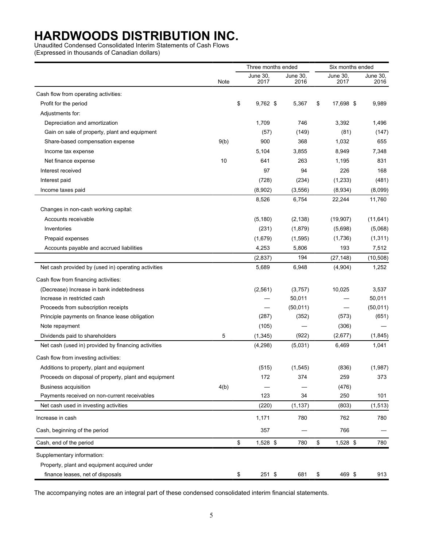Unaudited Condensed Consolidated Interim Statements of Cash Flows

(Expressed in thousands of Canadian dollars)

|                                                       |      | Three months ended |                  |                  | Six months ended |                  |  |  |
|-------------------------------------------------------|------|--------------------|------------------|------------------|------------------|------------------|--|--|
|                                                       | Note |                    | June 30,<br>2017 | June 30,<br>2016 | June 30.<br>2017 | June 30,<br>2016 |  |  |
| Cash flow from operating activities:                  |      |                    |                  |                  |                  |                  |  |  |
| Profit for the period                                 |      | \$                 | $9,762$ \$       | 5,367            | \$<br>17,698 \$  | 9,989            |  |  |
| Adjustments for:                                      |      |                    |                  |                  |                  |                  |  |  |
| Depreciation and amortization                         |      |                    | 1,709            | 746              | 3,392            | 1,496            |  |  |
| Gain on sale of property, plant and equipment         |      |                    | (57)             | (149)            | (81)             | (147)            |  |  |
| Share-based compensation expense                      | 9(b) |                    | 900              | 368              | 1,032            | 655              |  |  |
| Income tax expense                                    |      |                    | 5,104            | 3,855            | 8,949            | 7,348            |  |  |
| Net finance expense                                   | 10   |                    | 641              | 263              | 1,195            | 831              |  |  |
| Interest received                                     |      |                    | 97               | 94               | 226              | 168              |  |  |
| Interest paid                                         |      |                    | (728)            | (234)            | (1,233)          | (481)            |  |  |
| Income taxes paid                                     |      |                    | (8,902)          | (3, 556)         | (8,934)          | (8,099)          |  |  |
|                                                       |      |                    | 8,526            | 6,754            | 22,244           | 11,760           |  |  |
| Changes in non-cash working capital:                  |      |                    |                  |                  |                  |                  |  |  |
| Accounts receivable                                   |      |                    | (5, 180)         | (2, 138)         | (19, 907)        | (11, 641)        |  |  |
| Inventories                                           |      |                    | (231)            | (1,879)          | (5,698)          | (5,068)          |  |  |
| Prepaid expenses                                      |      |                    | (1,679)          | (1,595)          | (1,736)          | (1, 311)         |  |  |
| Accounts payable and accrued liabilities              |      |                    | 4,253            | 5,806            | 193              | 7,512            |  |  |
|                                                       |      |                    | (2,837)          | 194              | (27, 148)        | (10, 508)        |  |  |
| Net cash provided by (used in) operating activities   |      |                    | 5,689            | 6,948            | (4,904)          | 1,252            |  |  |
| Cash flow from financing activities:                  |      |                    |                  |                  |                  |                  |  |  |
| (Decrease) Increase in bank indebtedness              |      |                    | (2, 561)         | (3,757)          | 10,025           | 3,537            |  |  |
| Increase in restricted cash                           |      |                    |                  | 50,011           |                  | 50,011           |  |  |
| Proceeds from subscription receipts                   |      |                    |                  | (50, 011)        |                  | (50, 011)        |  |  |
| Principle payments on finance lease obligation        |      |                    | (287)            | (352)            | (573)            | (651)            |  |  |
| Note repayment                                        |      |                    | (105)            |                  | (306)            |                  |  |  |
| Dividends paid to shareholders                        | 5    |                    | (1, 345)         | (922)            | (2,677)          | (1, 845)         |  |  |
| Net cash (used in) provided by financing activities   |      |                    | (4,298)          | (5,031)          | 6,469            | 1,041            |  |  |
| Cash flow from investing activities:                  |      |                    |                  |                  |                  |                  |  |  |
| Additions to property, plant and equipment            |      |                    | (515)            | (1, 545)         | (836)            | (1,987)          |  |  |
| Proceeds on disposal of property, plant and equipment |      |                    | 172              | 374              | 259              | 373              |  |  |
| <b>Business acquisition</b>                           | 4(b) |                    |                  |                  | (476)            |                  |  |  |
| Payments received on non-current receivables          |      |                    | 123              | 34               | 250              | 101              |  |  |
| Net cash used in investing activities                 |      |                    | (220)            | (1, 137)         | (803)            | (1, 513)         |  |  |
| Increase in cash                                      |      |                    | 1,171            | 780              | 762              | 780              |  |  |
| Cash, beginning of the period                         |      |                    | 357              |                  | 766              |                  |  |  |
| Cash, end of the period                               |      | \$                 | 1,528 \$         | 780              | \$<br>1,528 \$   | 780              |  |  |
| Supplementary information:                            |      |                    |                  |                  |                  |                  |  |  |
| Property, plant and equipment acquired under          |      |                    |                  |                  |                  |                  |  |  |
| finance leases, net of disposals                      |      | \$                 | 251 \$           | 681              | \$<br>469 \$     | 913              |  |  |

The accompanying notes are an integral part of these condensed consolidated interim financial statements.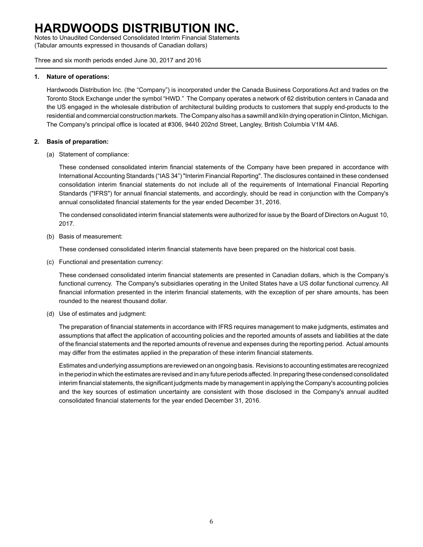Notes to Unaudited Condensed Consolidated Interim Financial Statements (Tabular amounts expressed in thousands of Canadian dollars)

Three and six month periods ended June 30, 2017 and 2016

#### **1. Nature of operations:**

Hardwoods Distribution Inc. (the "Company") is incorporated under the Canada Business Corporations Act and trades on the Toronto Stock Exchange under the symbol "HWD." The Company operates a network of 62 distribution centers in Canada and the US engaged in the wholesale distribution of architectural building products to customers that supply end-products to the residential and commercial construction markets. The Company also has a sawmill and kiln drying operation in Clinton, Michigan. The Company's principal office is located at #306, 9440 202nd Street, Langley, British Columbia V1M 4A6.

### **2. Basis of preparation:**

(a) Statement of compliance:

These condensed consolidated interim financial statements of the Company have been prepared in accordance with International Accounting Standards ("IAS 34") "Interim Financial Reporting". The disclosures contained in these condensed consolidation interim financial statements do not include all of the requirements of International Financial Reporting Standards ("IFRS") for annual financial statements, and accordingly, should be read in conjunction with the Company's annual consolidated financial statements for the year ended December 31, 2016.

The condensed consolidated interim financial statements were authorized for issue by the Board of Directors on August 10, 2017.

(b) Basis of measurement:

These condensed consolidated interim financial statements have been prepared on the historical cost basis.

(c) Functional and presentation currency:

These condensed consolidated interim financial statements are presented in Canadian dollars, which is the Company's functional currency. The Company's subsidiaries operating in the United States have a US dollar functional currency. All financial information presented in the interim financial statements, with the exception of per share amounts, has been rounded to the nearest thousand dollar.

(d) Use of estimates and judgment:

The preparation of financial statements in accordance with IFRS requires management to make judgments, estimates and assumptions that affect the application of accounting policies and the reported amounts of assets and liabilities at the date of the financial statements and the reported amounts of revenue and expenses during the reporting period. Actual amounts may differ from the estimates applied in the preparation of these interim financial statements.

Estimates and underlying assumptions are reviewed on an ongoing basis. Revisions to accounting estimates are recognized in the period in which the estimates are revised and in any future periods affected. In preparing these condensed consolidated interim financial statements, the significant judgments made by management in applying the Company's accounting policies and the key sources of estimation uncertainty are consistent with those disclosed in the Company's annual audited consolidated financial statements for the year ended December 31, 2016.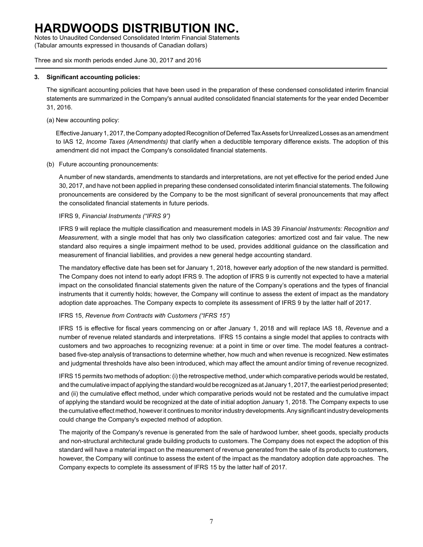Notes to Unaudited Condensed Consolidated Interim Financial Statements (Tabular amounts expressed in thousands of Canadian dollars)

Three and six month periods ended June 30, 2017 and 2016

#### **3. Significant accounting policies:**

The significant accounting policies that have been used in the preparation of these condensed consolidated interim financial statements are summarized in the Company's annual audited consolidated financial statements for the year ended December 31, 2016.

(a) New accounting policy:

Effective January 1, 2017, the Company adopted Recognition of Deferred Tax Assets for Unrealized Losses as an amendment to IAS 12, *Income Taxes (Amendments)* that clarify when a deductible temporary difference exists. The adoption of this amendment did not impact the Company's consolidated financial statements.

(b) Future accounting pronouncements:

A number of new standards, amendments to standards and interpretations, are not yet effective for the period ended June 30, 2017, and have not been applied in preparing these condensed consolidated interim financial statements. The following pronouncements are considered by the Company to be the most significant of several pronouncements that may affect the consolidated financial statements in future periods.

IFRS 9, *Financial Instruments ("IFRS 9")*

IFRS 9 will replace the multiple classification and measurement models in IAS 39 *Financial Instruments: Recognition and Measurement*, with a single model that has only two classification categories: amortized cost and fair value. The new standard also requires a single impairment method to be used, provides additional guidance on the classification and measurement of financial liabilities, and provides a new general hedge accounting standard.

The mandatory effective date has been set for January 1, 2018, however early adoption of the new standard is permitted. The Company does not intend to early adopt IFRS 9. The adoption of IFRS 9 is currently not expected to have a material impact on the consolidated financial statements given the nature of the Company's operations and the types of financial instruments that it currently holds; however, the Company will continue to assess the extent of impact as the mandatory adoption date approaches. The Company expects to complete its assessment of IFRS 9 by the latter half of 2017.

### IFRS 15, *Revenue from Contracts with Customers ("IFRS 15")*

IFRS 15 is effective for fiscal years commencing on or after January 1, 2018 and will replace IAS 18, *Revenue* and a number of revenue related standards and interpretations. IFRS 15 contains a single model that applies to contracts with customers and two approaches to recognizing revenue: at a point in time or over time. The model features a contractbased five-step analysis of transactions to determine whether, how much and when revenue is recognized. New estimates and judgmental thresholds have also been introduced, which may affect the amount and/or timing of revenue recognized.

IFRS 15 permits two methods of adoption: (i) the retrospective method, under which comparative periods would be restated, and the cumulative impact of applying the standard would be recognized as at January 1, 2017, the earliest period presented; and (ii) the cumulative effect method, under which comparative periods would not be restated and the cumulative impact of applying the standard would be recognized at the date of initial adoption January 1, 2018. The Company expects to use the cumulative effect method, however it continues to monitor industry developments. Any significant industry developments could change the Company's expected method of adoption.

The majority of the Company's revenue is generated from the sale of hardwood lumber, sheet goods, specialty products and non-structural architectural grade building products to customers. The Company does not expect the adoption of this standard will have a material impact on the measurement of revenue generated from the sale of its products to customers, however, the Company will continue to assess the extent of the impact as the mandatory adoption date approaches. The Company expects to complete its assessment of IFRS 15 by the latter half of 2017.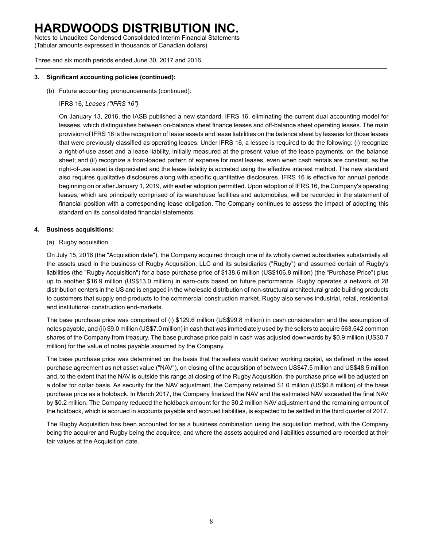Notes to Unaudited Condensed Consolidated Interim Financial Statements (Tabular amounts expressed in thousands of Canadian dollars)

Three and six month periods ended June 30, 2017 and 2016

### **3. Significant accounting policies (continued):**

(b) Future accounting pronouncements (continued):

### IFRS 16, *Leases ("IFRS 16")*

On January 13, 2016, the IASB published a new standard, IFRS 16, eliminating the current dual accounting model for lessees, which distinguishes between on-balance sheet finance leases and off-balance sheet operating leases. The main provision of IFRS 16 is the recognition of lease assets and lease liabilities on the balance sheet by lessees for those leases that were previously classified as operating leases. Under IFRS 16, a lessee is required to do the following: (i) recognize a right-of-use asset and a lease liability, initially measured at the present value of the lease payments, on the balance sheet; and (ii) recognize a front-loaded pattern of expense for most leases, even when cash rentals are constant, as the right-of-use asset is depreciated and the lease liability is accreted using the effective interest method. The new standard also requires qualitative disclosures along with specific quantitative disclosures. IFRS 16 is effective for annual periods beginning on or after January 1, 2019, with earlier adoption permitted. Upon adoption of IFRS 16, the Company's operating leases, which are principally comprised of its warehouse facilities and automobiles, will be recorded in the statement of financial position with a corresponding lease obligation. The Company continues to assess the impact of adopting this standard on its consolidated financial statements.

### **4. Business acquisitions:**

(a) Rugby acquisition

On July 15, 2016 (the "Acquisition date"), the Company acquired through one of its wholly owned subsidiaries substantially all the assets used in the business of Rugby Acquisition, LLC and its subsidiaries ("Rugby") and assumed certain of Rugby's liabilities (the "Rugby Acquisition") for a base purchase price of \$138.6 million (US\$106.8 million) (the "Purchase Price") plus up to another \$16.9 million (US\$13.0 million) in earn-outs based on future performance. Rugby operates a network of 28 distribution centers in the US and is engaged in the wholesale distribution of non-structural architectural grade building products to customers that supply end-products to the commercial construction market. Rugby also serves industrial, retail, residential and institutional construction end-markets.

The base purchase price was comprised of (i) \$129.6 million (US\$99.8 million) in cash consideration and the assumption of notes payable, and (ii) \$9.0 million (US\$7.0 million) in cash that was immediately used by the sellers to acquire 563,542 common shares of the Company from treasury. The base purchase price paid in cash was adjusted downwards by \$0.9 million (US\$0.7 million) for the value of notes payable assumed by the Company.

The base purchase price was determined on the basis that the sellers would deliver working capital, as defined in the asset purchase agreement as net asset value ("NAV"), on closing of the acquisition of between US\$47.5 million and US\$48.5 million and, to the extent that the NAV is outside this range at closing of the Rugby Acquisition, the purchase price will be adjusted on a dollar for dollar basis. As security for the NAV adjustment, the Company retained \$1.0 million (US\$0.8 million) of the base purchase price as a holdback. In March 2017, the Company finalized the NAV and the estimated NAV exceeded the final NAV by \$0.2 million. The Company reduced the holdback amount for the \$0.2 million NAV adjustment and the remaining amount of the holdback, which is accrued in accounts payable and accrued liabilities, is expected to be settled in the third quarter of 2017.

The Rugby Acquisition has been accounted for as a business combination using the acquisition method, with the Company being the acquirer and Rugby being the acquiree, and where the assets acquired and liabilities assumed are recorded at their fair values at the Acquisition date.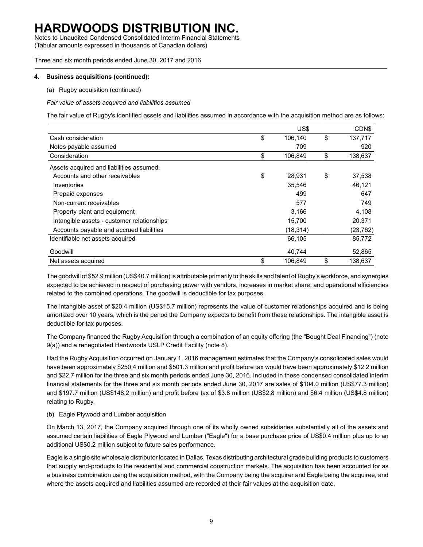Notes to Unaudited Condensed Consolidated Interim Financial Statements (Tabular amounts expressed in thousands of Canadian dollars)

Three and six month periods ended June 30, 2017 and 2016

#### **4. Business acquisitions (continued):**

(a) Rugby acquisition (continued)

*Fair value of assets acquired and liabilities assumed*

The fair value of Rugby's identified assets and liabilities assumed in accordance with the acquisition method are as follows:

|                                            | US\$          | CDN\$         |
|--------------------------------------------|---------------|---------------|
| Cash consideration                         | \$<br>106,140 | \$<br>137,717 |
| Notes payable assumed                      | 709           | 920           |
| Consideration                              | \$<br>106,849 | \$<br>138,637 |
| Assets acquired and liabilities assumed:   |               |               |
| Accounts and other receivables             | \$<br>28,931  | \$<br>37,538  |
| Inventories                                | 35,546        | 46,121        |
| Prepaid expenses                           | 499           | 647           |
| Non-current receivables                    | 577           | 749           |
| Property plant and equipment               | 3,166         | 4,108         |
| Intangible assets - customer relationships | 15,700        | 20,371        |
| Accounts payable and accrued liabilities   | (18, 314)     | (23, 762)     |
| Identifiable net assets acquired           | 66,105        | 85,772        |
| Goodwill                                   | 40,744        | 52,865        |
| Net assets acquired                        | \$<br>106.849 | \$<br>138.637 |

The goodwill of \$52.9 million (US\$40.7 million) is attributable primarily to the skills and talent of Rugby's workforce, and synergies expected to be achieved in respect of purchasing power with vendors, increases in market share, and operational efficiencies related to the combined operations. The goodwill is deductible for tax purposes.

The intangible asset of \$20.4 million (US\$15.7 million) represents the value of customer relationships acquired and is being amortized over 10 years, which is the period the Company expects to benefit from these relationships. The intangible asset is deductible for tax purposes.

The Company financed the Rugby Acquisition through a combination of an equity offering (the "Bought Deal Financing") (note 9(a)) and a renegotiated Hardwoods USLP Credit Facility (note 8).

Had the Rugby Acquisition occurred on January 1, 2016 management estimates that the Company's consolidated sales would have been approximately \$250.4 million and \$501.3 million and profit before tax would have been approximately \$12.2 million and \$22.7 million for the three and six month periods ended June 30, 2016. Included in these condensed consolidated interim financial statements for the three and six month periods ended June 30, 2017 are sales of \$104.0 million (US\$77.3 million) and \$197.7 million (US\$148.2 million) and profit before tax of \$3.8 million (US\$2.8 million) and \$6.4 million (US\$4.8 million) relating to Rugby.

#### (b) Eagle Plywood and Lumber acquisition

On March 13, 2017, the Company acquired through one of its wholly owned subsidiaries substantially all of the assets and assumed certain liabilities of Eagle Plywood and Lumber ("Eagle") for a base purchase price of US\$0.4 million plus up to an additional US\$0.2 million subject to future sales performance.

Eagle is a single site wholesale distributor located in Dallas, Texas distributing architectural grade building products to customers that supply end-products to the residential and commercial construction markets. The acquisition has been accounted for as a business combination using the acquisition method, with the Company being the acquirer and Eagle being the acquiree, and where the assets acquired and liabilities assumed are recorded at their fair values at the acquisition date.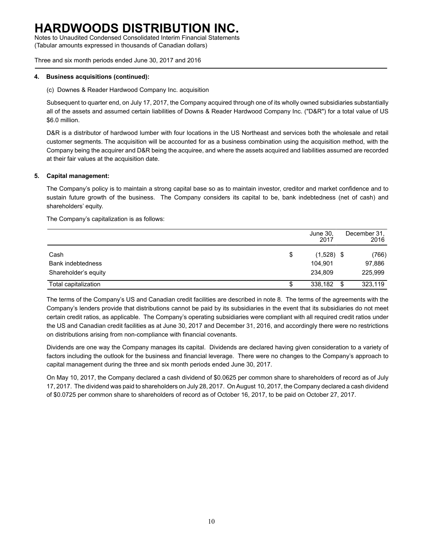Notes to Unaudited Condensed Consolidated Interim Financial Statements (Tabular amounts expressed in thousands of Canadian dollars)

Three and six month periods ended June 30, 2017 and 2016

#### **4. Business acquisitions (continued):**

(c) Downes & Reader Hardwood Company Inc. acquisition

Subsequent to quarter end, on July 17, 2017, the Company acquired through one of its wholly owned subsidiaries substantially all of the assets and assumed certain liabilities of Downs & Reader Hardwood Company Inc. ("D&R") for a total value of US \$6.0 million.

D&R is a distributor of hardwood lumber with four locations in the US Northeast and services both the wholesale and retail customer segments. The acquisition will be accounted for as a business combination using the acquisition method, with the Company being the acquirer and D&R being the acquiree, and where the assets acquired and liabilities assumed are recorded at their fair values at the acquisition date.

### **5. Capital management:**

The Company's policy is to maintain a strong capital base so as to maintain investor, creditor and market confidence and to sustain future growth of the business. The Company considers its capital to be, bank indebtedness (net of cash) and shareholders' equity.

The Company's capitalization is as follows:

|                          |    | June 30,<br>2017 |      | December 31,<br>2016 |
|--------------------------|----|------------------|------|----------------------|
| Cash                     | \$ | $(1,528)$ \$     |      | (766)                |
| <b>Bank indebtedness</b> |    | 104.901          |      | 97,886               |
| Shareholder's equity     |    | 234.809          |      | 225,999              |
| Total capitalization     | S  | 338,182          | - \$ | 323,119              |

The terms of the Company's US and Canadian credit facilities are described in note 8. The terms of the agreements with the Company's lenders provide that distributions cannot be paid by its subsidiaries in the event that its subsidiaries do not meet certain credit ratios, as applicable. The Company's operating subsidiaries were compliant with all required credit ratios under the US and Canadian credit facilities as at June 30, 2017 and December 31, 2016, and accordingly there were no restrictions on distributions arising from non-compliance with financial covenants.

Dividends are one way the Company manages its capital. Dividends are declared having given consideration to a variety of factors including the outlook for the business and financial leverage. There were no changes to the Company's approach to capital management during the three and six month periods ended June 30, 2017.

On May 10, 2017, the Company declared a cash dividend of \$0.0625 per common share to shareholders of record as of July 17, 2017. The dividend was paid to shareholders on July 28, 2017. On August 10, 2017, the Company declared a cash dividend of \$0.0725 per common share to shareholders of record as of October 16, 2017, to be paid on October 27, 2017.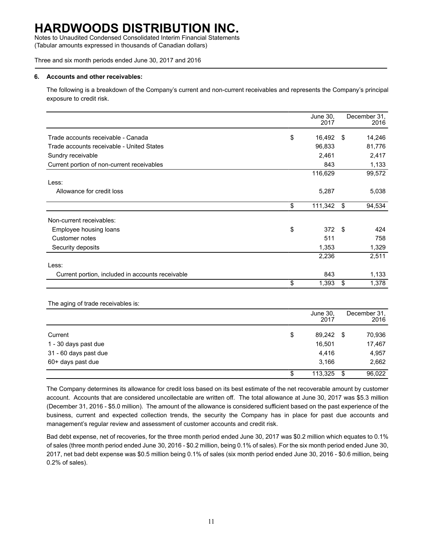Notes to Unaudited Condensed Consolidated Interim Financial Statements (Tabular amounts expressed in thousands of Canadian dollars)

Three and six month periods ended June 30, 2017 and 2016

### **6. Accounts and other receivables:**

The following is a breakdown of the Company's current and non-current receivables and represents the Company's principal exposure to credit risk.

|                                                  | June 30,<br>2017 |     | December 31,<br>2016 |
|--------------------------------------------------|------------------|-----|----------------------|
| Trade accounts receivable - Canada               | \$<br>16,492     | -\$ | 14,246               |
| Trade accounts receivable - United States        | 96,833           |     | 81,776               |
| Sundry receivable                                | 2,461            |     | 2,417                |
| Current portion of non-current receivables       | 843              |     | 1,133                |
|                                                  | 116,629          |     | 99,572               |
| Less:                                            |                  |     |                      |
| Allowance for credit loss                        | 5,287            |     | 5,038                |
|                                                  | \$<br>111,342    | \$  | 94,534               |
| Non-current receivables:                         |                  |     |                      |
| Employee housing loans                           | \$<br>372S       |     | 424                  |
| Customer notes                                   | 511              |     | 758                  |
| Security deposits                                | 1,353            |     | 1,329                |
|                                                  | 2,236            |     | 2,511                |
| Less:                                            |                  |     |                      |
| Current portion, included in accounts receivable | 843              |     | 1,133                |
|                                                  | \$<br>1,393      | \$  | 1,378                |

The aging of trade receivables is:

|                       |    | June 30,<br>2017 |      | December 31.<br>2016 |
|-----------------------|----|------------------|------|----------------------|
| Current               | \$ | 89,242 \$        |      | 70,936               |
| 1 - 30 days past due  |    | 16,501           |      | 17,467               |
| 31 - 60 days past due |    | 4,416            |      | 4,957                |
| 60+ days past due     |    | 3.166            |      | 2,662                |
|                       | S  | 113,325          | - \$ | 96,022               |

The Company determines its allowance for credit loss based on its best estimate of the net recoverable amount by customer account. Accounts that are considered uncollectable are written off. The total allowance at June 30, 2017 was \$5.3 million (December 31, 2016 - \$5.0 million). The amount of the allowance is considered sufficient based on the past experience of the business, current and expected collection trends, the security the Company has in place for past due accounts and management's regular review and assessment of customer accounts and credit risk.

Bad debt expense, net of recoveries, for the three month period ended June 30, 2017 was \$0.2 million which equates to 0.1% of sales (three month period ended June 30, 2016 - \$0.2 million, being 0.1% of sales). For the six month period ended June 30, 2017, net bad debt expense was \$0.5 million being 0.1% of sales (six month period ended June 30, 2016 - \$0.6 million, being 0.2% of sales).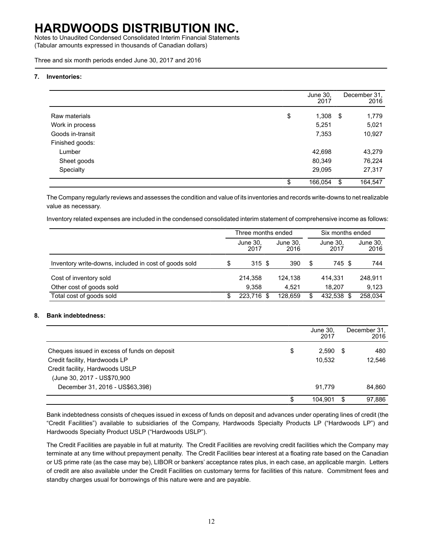Notes to Unaudited Condensed Consolidated Interim Financial Statements (Tabular amounts expressed in thousands of Canadian dollars)

Three and six month periods ended June 30, 2017 and 2016

#### **7. Inventories:**

|                  | June 30,<br>2017 |     | December 31,<br>2016 |
|------------------|------------------|-----|----------------------|
|                  |                  |     |                      |
| Raw materials    | \$<br>1,308      | -\$ | 1,779                |
| Work in process  | 5,251            |     | 5,021                |
| Goods in-transit | 7,353            |     | 10,927               |
| Finished goods:  |                  |     |                      |
| Lumber           | 42,698           |     | 43,279               |
| Sheet goods      | 80,349           |     | 76,224               |
| Specialty        | 29,095           |     | 27,317               |
|                  | \$<br>166,054    | S   | 164,547              |

The Company regularly reviews and assesses the condition and value of its inventories and records write-downs to net realizable value as necessary.

Inventory related expenses are included in the condensed consolidated interim statement of comprehensive income as follows:

|                                                       |    | Three months ended |  |                  |    | Six months ended |                  |  |
|-------------------------------------------------------|----|--------------------|--|------------------|----|------------------|------------------|--|
|                                                       |    | June 30,<br>2017   |  | June 30.<br>2016 |    | June 30.<br>2017 | June 30,<br>2016 |  |
| Inventory write-downs, included in cost of goods sold | S  | 315S               |  | 390              | \$ | 745 \$           | 744              |  |
| Cost of inventory sold                                |    | 214,358            |  | 124.138          |    | 414,331          | 248,911          |  |
| Other cost of goods sold                              |    | 9.358              |  | 4.521            |    | 18.207           | 9,123            |  |
| Total cost of goods sold                              | S. | 223.716 \$         |  | 128.659          | \$ | 432,538 \$       | 258,034          |  |

#### **8. Bank indebtedness:**

|                                              |    | June 30,<br>2017 |      | December 31,<br>2016 |
|----------------------------------------------|----|------------------|------|----------------------|
| Cheques issued in excess of funds on deposit | \$ | 2,590            | - SS | 480                  |
| Credit facility, Hardwoods LP                |    | 10.532           |      | 12,546               |
| Credit facility, Hardwoods USLP              |    |                  |      |                      |
| (June 30, 2017 - US\$70,900                  |    |                  |      |                      |
| December 31, 2016 - US\$63,398)              |    | 91.779           |      | 84,860               |
|                                              | S  | 104.901          |      | 97.886               |

Bank indebtedness consists of cheques issued in excess of funds on deposit and advances under operating lines of credit (the "Credit Facilities") available to subsidiaries of the Company, Hardwoods Specialty Products LP ("Hardwoods LP") and Hardwoods Specialty Product USLP ("Hardwoods USLP").

The Credit Facilities are payable in full at maturity. The Credit Facilities are revolving credit facilities which the Company may terminate at any time without prepayment penalty. The Credit Facilities bear interest at a floating rate based on the Canadian or US prime rate (as the case may be), LIBOR or bankers' acceptance rates plus, in each case, an applicable margin. Letters of credit are also available under the Credit Facilities on customary terms for facilities of this nature. Commitment fees and standby charges usual for borrowings of this nature were and are payable.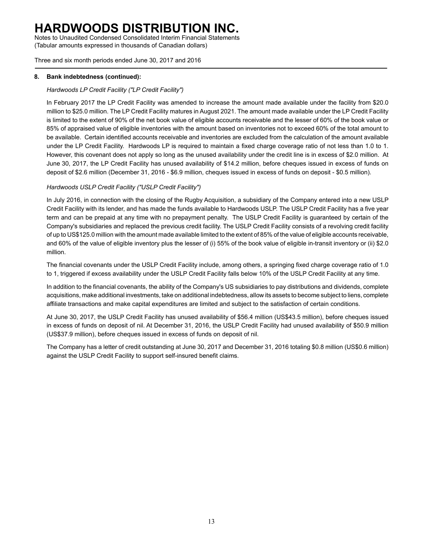Notes to Unaudited Condensed Consolidated Interim Financial Statements (Tabular amounts expressed in thousands of Canadian dollars)

Three and six month periods ended June 30, 2017 and 2016

### **8. Bank indebtedness (continued):**

### *Hardwoods LP Credit Facility ("LP Credit Facility")*

In February 2017 the LP Credit Facility was amended to increase the amount made available under the facility from \$20.0 million to \$25.0 million. The LP Credit Facility matures in August 2021. The amount made available under the LP Credit Facility is limited to the extent of 90% of the net book value of eligible accounts receivable and the lesser of 60% of the book value or 85% of appraised value of eligible inventories with the amount based on inventories not to exceed 60% of the total amount to be available. Certain identified accounts receivable and inventories are excluded from the calculation of the amount available under the LP Credit Facility. Hardwoods LP is required to maintain a fixed charge coverage ratio of not less than 1.0 to 1. However, this covenant does not apply so long as the unused availability under the credit line is in excess of \$2.0 million. At June 30, 2017, the LP Credit Facility has unused availability of \$14.2 million, before cheques issued in excess of funds on deposit of \$2.6 million (December 31, 2016 - \$6.9 million, cheques issued in excess of funds on deposit - \$0.5 million).

### *Hardwoods USLP Credit Facility ("USLP Credit Facility")*

In July 2016, in connection with the closing of the Rugby Acquisition, a subsidiary of the Company entered into a new USLP Credit Facility with its lender, and has made the funds available to Hardwoods USLP. The USLP Credit Facility has a five year term and can be prepaid at any time with no prepayment penalty. The USLP Credit Facility is guaranteed by certain of the Company's subsidiaries and replaced the previous credit facility. The USLP Credit Facility consists of a revolving credit facility of up to US\$125.0 million with the amount made available limited to the extent of 85% of the value of eligible accounts receivable, and 60% of the value of eligible inventory plus the lesser of (i) 55% of the book value of eligible in-transit inventory or (ii) \$2.0 million.

The financial covenants under the USLP Credit Facility include, among others, a springing fixed charge coverage ratio of 1.0 to 1, triggered if excess availability under the USLP Credit Facility falls below 10% of the USLP Credit Facility at any time.

In addition to the financial covenants, the ability of the Company's US subsidiaries to pay distributions and dividends, complete acquisitions, make additional investments, take on additional indebtedness, allow its assets to become subject to liens, complete affiliate transactions and make capital expenditures are limited and subject to the satisfaction of certain conditions.

At June 30, 2017, the USLP Credit Facility has unused availability of \$56.4 million (US\$43.5 million), before cheques issued in excess of funds on deposit of nil. At December 31, 2016, the USLP Credit Facility had unused availability of \$50.9 million (US\$37.9 million), before cheques issued in excess of funds on deposit of nil.

The Company has a letter of credit outstanding at June 30, 2017 and December 31, 2016 totaling \$0.8 million (US\$0.6 million) against the USLP Credit Facility to support self-insured benefit claims.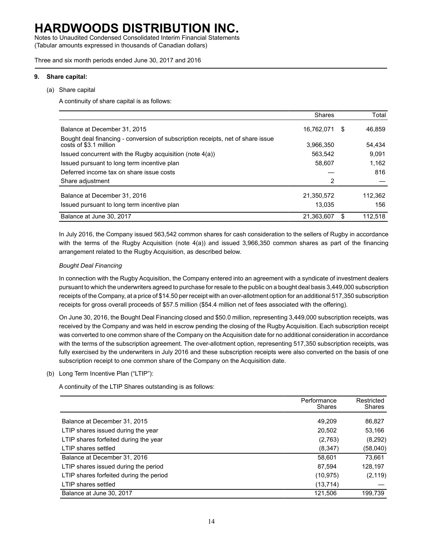Notes to Unaudited Condensed Consolidated Interim Financial Statements (Tabular amounts expressed in thousands of Canadian dollars)

Three and six month periods ended June 30, 2017 and 2016

#### **9. Share capital:**

(a) Share capital

A continuity of share capital is as follows:

|                                                                                                           | <b>Shares</b> |    | Total   |
|-----------------------------------------------------------------------------------------------------------|---------------|----|---------|
| Balance at December 31, 2015                                                                              | 16,762,071    | S  | 46.859  |
| Bought deal financing - conversion of subscription receipts, net of share issue<br>costs of \$3.1 million | 3,966,350     |    | 54,434  |
| Issued concurrent with the Rugby acquisition (note 4(a))                                                  | 563,542       |    | 9.091   |
| Issued pursuant to long term incentive plan                                                               | 58,607        |    | 1.162   |
| Deferred income tax on share issue costs                                                                  |               |    | 816     |
| Share adjustment                                                                                          | 2             |    |         |
| Balance at December 31, 2016                                                                              | 21,350,572    |    | 112,362 |
| Issued pursuant to long term incentive plan                                                               | 13,035        |    | 156     |
| Balance at June 30, 2017                                                                                  | 21,363,607    | S. | 112.518 |

In July 2016, the Company issued 563,542 common shares for cash consideration to the sellers of Rugby in accordance with the terms of the Rugby Acquisition (note 4(a)) and issued 3,966,350 common shares as part of the financing arrangement related to the Rugby Acquisition, as described below.

### *Bought Deal Financing*

In connection with the Rugby Acquisition, the Company entered into an agreement with a syndicate of investment dealers pursuant to which the underwriters agreed to purchase for resale to the public on a bought deal basis 3,449,000 subscription receipts of the Company, at a price of \$14.50 per receipt with an over-allotment option for an additional 517,350 subscription receipts for gross overall proceeds of \$57.5 million (\$54.4 million net of fees associated with the offering).

On June 30, 2016, the Bought Deal Financing closed and \$50.0 million, representing 3,449,000 subscription receipts, was received by the Company and was held in escrow pending the closing of the Rugby Acquisition. Each subscription receipt was converted to one common share of the Company on the Acquisition date for no additional consideration in accordance with the terms of the subscription agreement. The over-allotment option, representing 517,350 subscription receipts, was fully exercised by the underwriters in July 2016 and these subscription receipts were also converted on the basis of one subscription receipt to one common share of the Company on the Acquisition date.

### (b) Long Term Incentive Plan ("LTIP"):

A continuity of the LTIP Shares outstanding is as follows:

|                                         | Performance<br><b>Shares</b> | Restricted<br><b>Shares</b> |
|-----------------------------------------|------------------------------|-----------------------------|
| Balance at December 31, 2015            | 49.209                       | 86,827                      |
| LTIP shares issued during the year      | 20,502                       | 53,166                      |
| LTIP shares forfeited during the year   | (2,763)                      | (8,292)                     |
| LTIP shares settled                     | (8, 347)                     | (58,040)                    |
| Balance at December 31, 2016            | 58,601                       | 73,661                      |
| LTIP shares issued during the period    | 87,594                       | 128,197                     |
| LTIP shares forfeited during the period | (10, 975)                    | (2, 119)                    |
| LTIP shares settled                     | (13, 714)                    |                             |
| Balance at June 30, 2017                | 121,506                      | 199,739                     |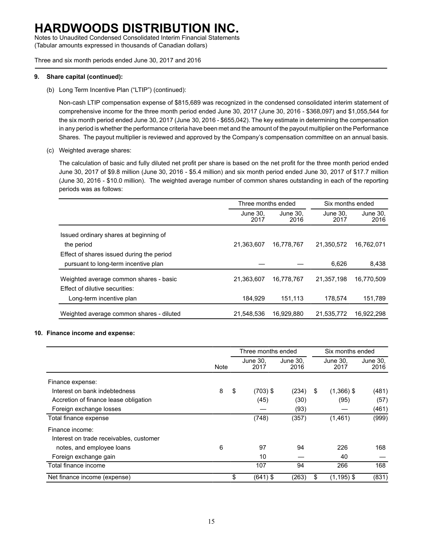Notes to Unaudited Condensed Consolidated Interim Financial Statements (Tabular amounts expressed in thousands of Canadian dollars)

Three and six month periods ended June 30, 2017 and 2016

### **9. Share capital (continued):**

(b) Long Term Incentive Plan ("LTIP") (continued):

Non-cash LTIP compensation expense of \$815,689 was recognized in the condensed consolidated interim statement of comprehensive income for the three month period ended June 30, 2017 (June 30, 2016 - \$368,097) and \$1,055,544 for the six month period ended June 30, 2017 (June 30, 2016 - \$655,042). The key estimate in determining the compensation in any period is whether the performance criteria have been met and the amount of the payout multiplier on the Performance Shares. The payout multiplier is reviewed and approved by the Company's compensation committee on an annual basis.

(c) Weighted average shares:

The calculation of basic and fully diluted net profit per share is based on the net profit for the three month period ended June 30, 2017 of \$9.8 million (June 30, 2016 - \$5.4 million) and six month period ended June 30, 2017 of \$17.7 million (June 30, 2016 - \$10.0 million). The weighted average number of common shares outstanding in each of the reporting periods was as follows:

|                                                                          | Three months ended |                  | Six months ended |                  |
|--------------------------------------------------------------------------|--------------------|------------------|------------------|------------------|
|                                                                          | June 30.<br>2017   | June 30,<br>2016 | June 30.<br>2017 | June 30.<br>2016 |
| Issued ordinary shares at beginning of                                   |                    |                  |                  |                  |
| the period                                                               | 21,363,607         | 16,778,767       | 21.350.572       | 16.762.071       |
| Effect of shares issued during the period                                |                    |                  |                  |                  |
| pursuant to long-term incentive plan                                     |                    |                  | 6.626            | 8,438            |
| Weighted average common shares - basic<br>Effect of dilutive securities: | 21,363,607         | 16,778,767       | 21.357.198       | 16,770,509       |
| Long-term incentive plan                                                 | 184,929            | 151,113          | 178.574          | 151,789          |
| Weighted average common shares - diluted                                 | 21.548.536         | 16.929.880       | 21.535.772       | 16.922.298       |

### **10. Finance income and expense:**

|                                         |      | Three months ended |                  |                  |    | Six months ended |                  |  |  |
|-----------------------------------------|------|--------------------|------------------|------------------|----|------------------|------------------|--|--|
|                                         | Note |                    | June 30.<br>2017 | June 30.<br>2016 |    | June 30.<br>2017 | June 30,<br>2016 |  |  |
| Finance expense:                        |      |                    |                  |                  |    |                  |                  |  |  |
| Interest on bank indebtedness           | 8    | -\$                | $(703)$ \$       | (234)            | \$ | $(1,366)$ \$     | (481)            |  |  |
| Accretion of finance lease obligation   |      |                    | (45)             | (30)             |    | (95)             | (57)             |  |  |
| Foreign exchange losses                 |      |                    |                  | (93)             |    |                  | (461)            |  |  |
| Total finance expense                   |      |                    | (748)            | (357)            |    | (1,461)          | (999)            |  |  |
| Finance income:                         |      |                    |                  |                  |    |                  |                  |  |  |
| Interest on trade receivables, customer |      |                    |                  |                  |    |                  |                  |  |  |
| notes, and employee loans               | 6    |                    | 97               | 94               |    | 226              | 168              |  |  |
| Foreign exchange gain                   |      |                    | 10               |                  |    | 40               |                  |  |  |
| Total finance income                    |      |                    | 107              | 94               |    | 266              | 168              |  |  |
| Net finance income (expense)            |      | \$                 | $(641)$ \$       | (263)            | \$ | $(1, 195)$ \$    | (831)            |  |  |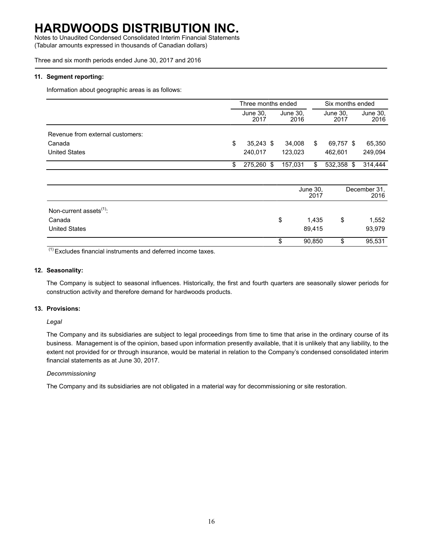Notes to Unaudited Condensed Consolidated Interim Financial Statements (Tabular amounts expressed in thousands of Canadian dollars)

Three and six month periods ended June 30, 2017 and 2016

### **11. Segment reporting:**

Information about geographic areas is as follows:

|                                     | Three months ended |  |                  |                  | Six months ended |  |                      |  |
|-------------------------------------|--------------------|--|------------------|------------------|------------------|--|----------------------|--|
|                                     | June 30,<br>2017   |  | June 30,<br>2016 |                  | June 30,<br>2017 |  | June 30,<br>2016     |  |
| Revenue from external customers:    |                    |  |                  |                  |                  |  |                      |  |
| Canada                              | \$<br>$35,243$ \$  |  | 34,008           | \$               | 69,757 \$        |  | 65,350               |  |
| <b>United States</b>                | 240,017            |  | 123,023          |                  | 462,601          |  | 249,094              |  |
|                                     | \$<br>275,260 \$   |  | 157,031          | \$               | 532,358 \$       |  | 314,444              |  |
|                                     |                    |  |                  |                  |                  |  |                      |  |
|                                     |                    |  |                  | June 30,<br>2017 |                  |  | December 31.<br>2016 |  |
| Non-current assets <sup>(1)</sup> : |                    |  |                  |                  |                  |  |                      |  |
| Canada                              |                    |  | \$               | 1,435            | \$               |  | 1,552                |  |
| <b>United States</b>                |                    |  |                  | 89,415           |                  |  | 93,979               |  |
|                                     |                    |  | \$               | 90,850           | \$               |  | 95,531               |  |

 $(1)$  Excludes financial instruments and deferred income taxes.

#### **12. Seasonality:**

The Company is subject to seasonal influences. Historically, the first and fourth quarters are seasonally slower periods for construction activity and therefore demand for hardwoods products.

#### **13. Provisions:**

*Legal*

The Company and its subsidiaries are subject to legal proceedings from time to time that arise in the ordinary course of its business. Management is of the opinion, based upon information presently available, that it is unlikely that any liability, to the extent not provided for or through insurance, would be material in relation to the Company's condensed consolidated interim financial statements as at June 30, 2017.

#### *Decommissioning*

The Company and its subsidiaries are not obligated in a material way for decommissioning or site restoration.